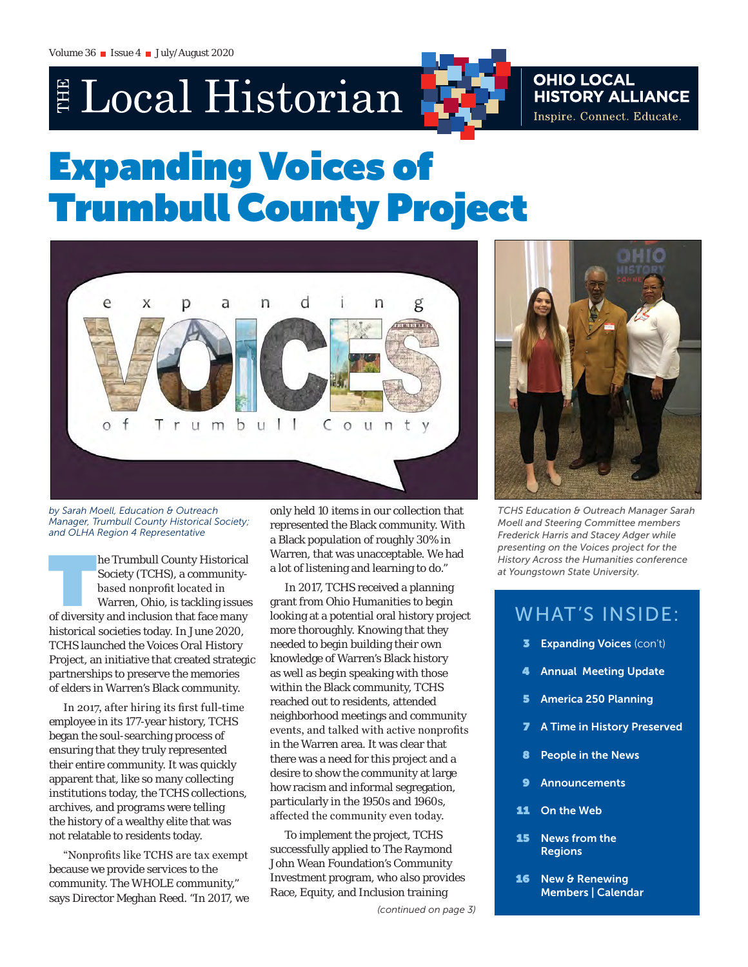# E Local Historian

## **OHIO LOCAL HISTORY ALLIANCE** Inspire. Connect. Educate.

# Expanding Voices of Trumbull County Project



*by Sarah Moell, Education & Outreach Manager, Trumbull County Historical Society; and OLHA Region 4 Representative* 

he Trumbull County Historical<br>
Society (TCHS), a community-<br>
based nonprofit located in<br>
Warren, Ohio, is tackling issues<br>
of diversity and inclusion that face many Society (TCHS), a communitybased nonprofit located in Warren, Ohio, is tackling issues historical societies today. In June 2020, TCHS launched the *Voices* Oral History Project, an initiative that created strategic partnerships to preserve the memories of elders in Warren's Black community.

In 2017, after hiring its first full-time employee in its 177-year history, TCHS began the soul-searching process of ensuring that they truly represented their entire community. It was quickly apparent that, like so many collecting institutions today, the TCHS collections, archives, and programs were telling the history of a wealthy elite that was not relatable to residents today.

"Nonprofits like TCHS are tax exempt because we provide services to the community. The WHOLE community," says Director Meghan Reed. "In 2017, we only held 10 items in our collection that represented the Black community. With a Black population of roughly 30% in Warren, that was unacceptable. We had a lot of listening and learning to do."

In 2017, TCHS received a planning grant from Ohio Humanities to begin looking at a potential oral history project more thoroughly. Knowing that they needed to begin building their own knowledge of Warren's Black history as well as begin speaking with those within the Black community, TCHS reached out to residents, attended neighborhood meetings and community events, and talked with active nonprofits in the Warren area. It was clear that there was a need for this project and a desire to show the community at large how racism and informal segregation, particularly in the 1950s and 1960s, affected the community even today.

To implement the project, TCHS successfully applied to The Raymond John Wean Foundation's Community Investment program, who also provides Race, Equity, and Inclusion training



*TCHS Education & Outreach Manager Sarah Moell and Steering Committee members Frederick Harris and Stacey Adger while presenting on the Voices project for the History Across the Humanities conference at Youngstown State University.*

# WHAT'S INSIDE:

- **3** Expanding Voices (con't)
- 4 Annual Meeting Update
- 5 America 250 Planning
- **7** A Time in History Preserved
- 8 People in the News
- 9 Announcements
- 11 On the Web
- 15 News from the Regions
- 16 New & Renewing Members | Calendar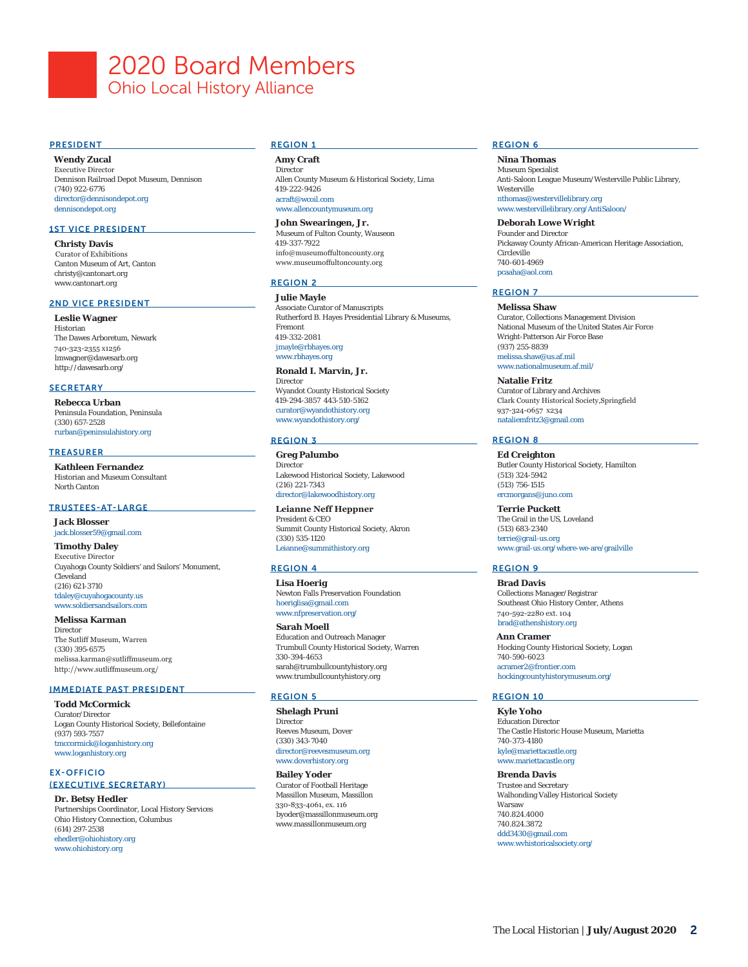# 2020 Board Members Ohio Local History Alliance

#### **PRESIDENT**

**Wendy Zucal** Executive Director Dennison Railroad Depot Museum, Dennison (740) 922-6776 [director@dennisondepot.org](mailto:director%40dennisondepot.org?subject=) [dennisondepot.org](http://dennisondepot.org)

### 1ST VICE PRESIDENT

**Christy Davis** Curator of Exhibitions Canton Museum of Art, Canton [christy@cantonart.org](mailto:christy@cantonart.org) [www.cantonart.org](http://www.cantonart.org)

#### 2ND VICE PRESIDENT

**Leslie Wagner** Historian The Dawes Arboretum, Newark 740-323-2355 x1256 [lmwagner@dawesarb.org](mailto:lmwagner@dawesarb.org) <http://dawesarb.org/>

#### **SECRETARY**

**Rebecca Urban** Peninsula Foundation, Peninsula (330) 657-2528 [rurban@peninsulahistory.org](mailto:rurban%40peninsulahistory.org?subject=)

#### **TREASURER**

**Kathleen Fernandez** Historian and Museum Consultant North Canton

#### TRUSTEES-AT-LARGE

**Jack Blosser** [jack.blosser59@gmail.com](mailto:jack.blosser59%40gmail.com%20?subject=)

**Timothy Daley** Executive Director Cuyahoga County Soldiers' and Sailors' Monument, Cleveland (216) 621-3710 [tdaley@cuyahogacounty.us](mailto:tdaley%40cuyahogacounty.us?subject=) [www.soldiersandsailors.com](http://www.soldiersandsailors.com)

### **Melissa Karman**

**Director** The Sutliff Museum, Warren (330) 395-6575 [melissa.karman@sutliffmuseum.org](mailto:melissa.karman@sutliffmuseum.org) <http://www.sutliffmuseum.org/>

#### IMMEDIATE PAST PRESIDENT

**Todd McCormick** Curator/Director Logan County Historical Society, Bellefontaine (937) 593-7557 [tmccormick@loganhistory.org](mailto:tmccormick%40loganhistory.org?subject=) [www.loganhistory.org](http://www.loganhistory.org)

### EX-OFFICIO

### (EXECUTIVE SECRETARY)

**Dr. Betsy Hedler** Partnerships Coordinator, Local History Services Ohio History Connection, Columbus (614) 297-2538 [ehedler@ohiohistory.org](mailto:ehedler%40ohiohistory.org?subject=) [www.ohiohistory.org](https://www.ohiohistory.org)

### REGION 1

**Amy Craft** Director Allen County Museum & Historical Society, Lima 419-222-9426 [acraft@wcoil.com](mailto:acraft%40wcoil.com?subject=) [www.allencountymuseum.org](http://www.allencountymuseum.org)

#### **John Swearingen, Jr.**

Museum of Fulton County, Wauseon 419-337-7922 [info@museumoffultoncounty.org](mailto:info@museumoffultoncounty.org) [www.museumoffultoncounty.org](http://www.museumoffultoncounty.org)

### REGION 2

**Julie Mayle** Associate Curator of Manuscripts Rutherford B. Hayes Presidential Library & Museums, Fremont 419-332-2081 [jmayle@rbhayes.org](mailto:jmayle%40rbhayes.org?subject=) <www.rbhayes.org>

#### **Ronald I. Marvin, Jr. Director**

Wyandot County Historical Society 419-294-3857 443-510-5162 [curator@wyandothistory.org](mailto:curator%40wyandothistory.org?subject=) [www.wyandothistory.org/](http://www.wyandothistory.org/)

### REGION 3

**Greg Palumbo Director** Lakewood Historical Society, Lakewood (216) 221-7343 [director@lakewoodhistory.org](mailto:www.rbhayes.org?subject=)

**Leianne Neff Heppner**  President & CEO Summit County Historical Society, Akron (330) 535-1120 [Leianne@summithistory.org](mailto:Leianne%40summithistory.org%0D?subject=)

### REGION 4

**Lisa Hoerig** Newton Falls Preservation Foundation [hoeriglisa@gmail.com](mailto:hoeriglisa%40gmail.com?subject=) [www.nfpreservation.org/](http://www.nfpreservation.org/)

**Sarah Moell** Education and Outreach Manager Trumbull County Historical Society, Warren 330-394-4653 [sarah@trumbullcountyhistory.org](mailto:sarah@trumbullcountyhistory.org) [www.trumbullcountyhistory.org](http://www.trumbullcountyhistory.org)

### REGION 5

**Shelagh Pruni Director** Reeves Museum, Dover (330) 343-7040 [director@reevesmuseum.org](mailto:director%40reevesmuseum.org%0D?subject=) [www.doverhistory.org](http://www.doverhistory.org)

**Bailey Yoder** Curator of Football Heritage Massillon Museum, Massillon 330-833-4061, ex. 116 [byoder@massillonmuseum.org](mailto:byoder%40massillonmuseum.org%0D?subject=) [www.massillonmuseum.org](http://www.massillonmuseum.org)

#### REGION 6

**Nina Thomas** Museum Specialist Anti-Saloon League Museum/Westerville Public Library, Westerville [nthomas@westervillelibrary.org](mailto:nthomas%40westervillelibrary.org?subject=) [www.westervillelibrary.org/AntiSaloon/](http://www.westervillelibrary.org/AntiSaloon/)

**Deborah Lowe Wright** Founder and Director Pickaway County African-American Heritage Association, Circleville 740-601-4969 [pcaaha@aol.com](mailto:pcaaha%40aol.com%20?subject=)

### REGION 7

**Melissa Shaw** Curator, Collections Management Division National Museum of the United States Air Force Wright-Patterson Air Force Base (937) 255-8839 [melissa.shaw@us.af.mil](mailto:melissa.shaw%40us.af.mil?subject=) [www.nationalmuseum.af.mil/](http://www.nationalmuseum.af.mil/)

**Natalie Fritz** Curator of Library and Archives Clark County Historical Society,Springfield 937-324-0657 x234 [nataliemfritz3@gmail.com](mailto:nataliemfritz3%40gmail.com?subject=)

### REGION 8

**Ed Creighton** Butler County Historical Society, Hamilton (513) 324-5942 (513) 756-1515 [ercmorgans@juno.com](mailto:ercmorgans%40juno.com?subject=)

**Terrie Puckett** The Grail in the US, Loveland (513) 683-2340 terrie@grail-us[.org](mailto:terrie%40grail-us.org%0D?subject=) [www.grail-us.org/where-we-are/grailville](mailto:www.grail-us.org/where-we-are/grailville?subject=)

#### REGION 9

**Brad Davis** Collections Manager/Registrar Southeast Ohio History Center, Athens 740-592-2280 ext. 104 [brad@athenshistory.org](mailto:brad%40athenshistory.org?subject=)

**Ann Cramer** Hocking County Historical Society, Logan 740-590-6023 [acramer2@frontier.com](mailto:acramer2%40frontier.com%20?subject=) [hockingcountyhistorymuseum.org/](https://hockingcountyhistorymuseum.org)

#### REGION 10

**Kyle Yoho** Education Director The Castle Historic House Museum, Marietta 740-373-4180 [kyle@mariettacastle.org](mailto:kyle%40mariettacastle.org?subject=) [www.mariettacastle.org](http://www.mariettacastle.org)

**Brenda Davis**  Trustee and Secretary Walhonding Valley Historical Society Warsaw 740.824.4000 740.824.3872 [ddd3430@gmail.com](mailto:ddd3430%40gmail.com?subject=) [www.wvhistoricalsociety.org/](http://www.wvhistoricalsociety.org/)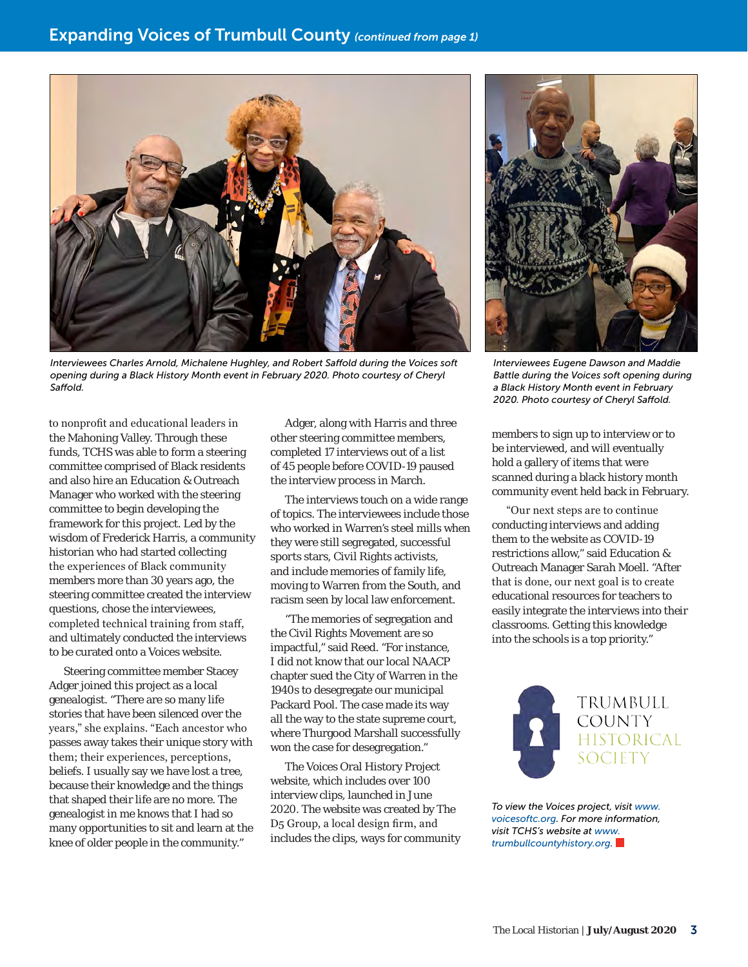

*Interviewees Charles Arnold, Michalene Hughley, and Robert Saffold during the Voices soft opening during a Black History Month event in February 2020. Photo courtesy of Cheryl Saffold.*

to nonprofit and educational leaders in the Mahoning Valley. Through these funds, TCHS was able to form a steering committee comprised of Black residents and also hire an Education & Outreach Manager who worked with the steering committee to begin developing the framework for this project. Led by the wisdom of Frederick Harris, a community historian who had started collecting the experiences of Black community members more than 30 years ago, the steering committee created the interview questions, chose the interviewees, completed technical training from staff, and ultimately conducted the interviews to be curated onto a Voices website.

Steering committee member Stacey Adger joined this project as a local genealogist. "There are so many life stories that have been silenced over the years," she explains. "Each ancestor who passes away takes their unique story with them; their experiences, perceptions, beliefs. I usually say we have lost a tree, because their knowledge and the things that shaped their life are no more. The genealogist in me knows that I had so many opportunities to sit and learn at the knee of older people in the community."

Adger, along with Harris and three other steering committee members, completed 17 interviews out of a list of 45 people before COVID-19 paused the interview process in March.

The interviews touch on a wide range of topics. The interviewees include those who worked in Warren's steel mills when they were still segregated, successful sports stars, Civil Rights activists, and include memories of family life, moving to Warren from the South, and racism seen by local law enforcement.

"The memories of segregation and the Civil Rights Movement are so impactful," said Reed. "For instance, I did not know that our local NAACP chapter sued the City of Warren in the 1940s to desegregate our municipal Packard Pool. The case made its way all the way to the state supreme court, where Thurgood Marshall successfully won the case for desegregation."

The *Voices* Oral History Project website, which includes over 100 interview clips, launched in June 2020. The website was created by The D5 Group, a local design firm, and includes the clips, ways for community



*Interviewees Eugene Dawson and Maddie Battle during the Voices soft opening during a Black History Month event in February 2020. Photo courtesy of Cheryl Saffold.*

members to sign up to interview or to be interviewed, and will eventually hold a gallery of items that were scanned during a black history month community event held back in February.

"Our next steps are to continue conducting interviews and adding them to the website as COVID-19 restrictions allow," said Education & Outreach Manager Sarah Moell. "After that is done, our next goal is to create educational resources for teachers to easily integrate the interviews into their classrooms. Getting this knowledge into the schools is a top priority."



*To view the Voices project, visit [www.](http://www.voicesoftc.org) [voicesoftc.org](http://www.voicesoftc.org). For more information, visit TCHS's website at [www.](http://www.trumbullcountyhistory.org) [trumbullcountyhistory.org.](http://www.trumbullcountyhistory.org)*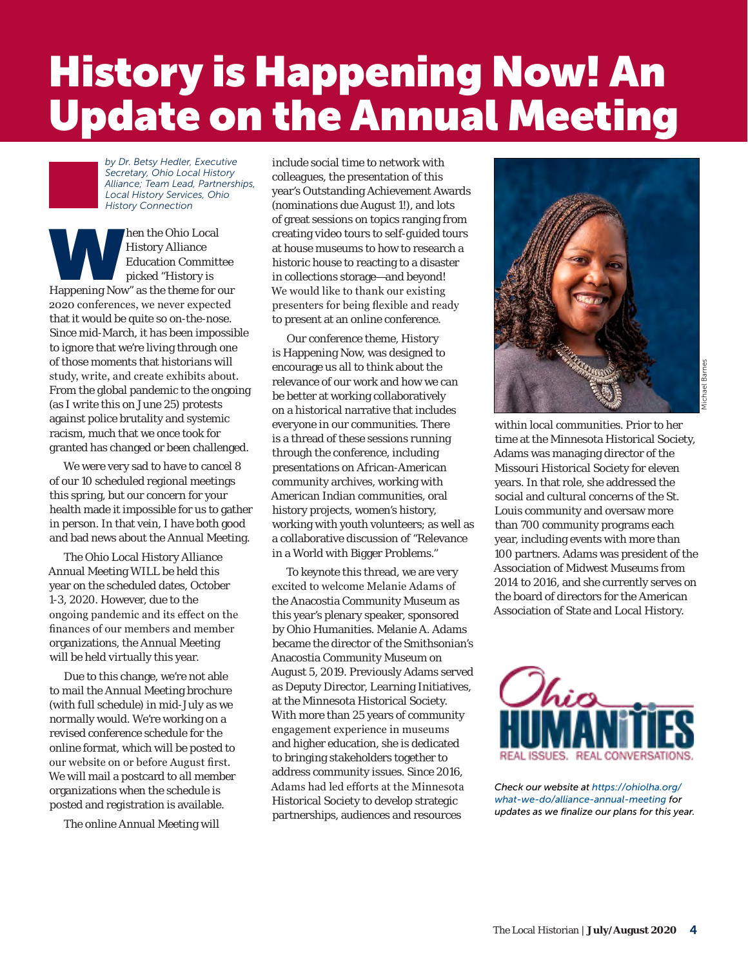# History is Happening Now! An Update on the Annual Meeting

*by Dr. Betsy Hedler, Executive Secretary, Ohio Local History Alliance; Team Lead, Partnerships, Local History Services, Ohio History Connection* 

M hen the Ohio Local History Alliance Education Committee picked "History is Happening Now" as the theme for our History Alliance Education Committee picked "History is 2020 conferences, we never expected that it would be quite so on-the-nose. Since mid-March, it has been impossible to ignore that we're living through one of those moments that historians will study, write, and create exhibits about. From the global pandemic to the ongoing (as I write this on June 25) protests against police brutality and systemic racism, much that we once took for granted has changed or been challenged.

We were very sad to have to cancel 8 of our 10 scheduled regional meetings this spring, but our concern for your health made it impossible for us to gather in person. In that vein, I have both good and bad news about the Annual Meeting.

The Ohio Local History Alliance Annual Meeting WILL be held this year on the scheduled dates, October 1-3, 2020. However, due to the ongoing pandemic and its effect on the finances of our members and member organizations, the Annual Meeting will be held virtually this year.

Due to this change, we're not able to mail the Annual Meeting brochure (with full schedule) in mid-July as we normally would. We're working on a revised conference schedule for the online format, which will be posted to our website on or before August first. We will mail a postcard to all member organizations when the schedule is posted and registration is available.

The online Annual Meeting will

include social time to network with colleagues, the presentation of this year's Outstanding Achievement Awards (nominations due August 1!), and lots of great sessions on topics ranging from creating video tours to self-guided tours at house museums to how to research a historic house to reacting to a disaster in collections storage—and beyond! We would like to thank our existing presenters for being flexible and ready to present at an online conference.

Our conference theme, History is Happening Now, was designed to encourage us all to think about the relevance of our work and how we can be better at working collaboratively on a historical narrative that includes everyone in our communities. There is a thread of these sessions running through the conference, including presentations on African-American community archives, working with American Indian communities, oral history projects, women's history, working with youth volunteers; as well as a collaborative discussion of "Relevance in a World with Bigger Problems."

To keynote this thread, we are very excited to welcome Melanie Adams of the Anacostia Community Museum as this year's plenary speaker, sponsored by Ohio Humanities. Melanie A. Adams became the director of the Smithsonian's Anacostia Community Museum on August 5, 2019. Previously Adams served as Deputy Director, Learning Initiatives, at the Minnesota Historical Society. With more than 25 years of community engagement experience in museums and higher education, she is dedicated to bringing stakeholders together to address community issues. Since 2016, Adams had led efforts at the Minnesota Historical Society to develop strategic partnerships, audiences and resources



within local communities. Prior to her time at the Minnesota Historical Society, Adams was managing director of the Missouri Historical Society for eleven years. In that role, she addressed the social and cultural concerns of the St. Louis community and oversaw more than 700 community programs each year, including events with more than 100 partners. Adams was president of the Association of Midwest Museums from 2014 to 2016, and she currently serves on the board of directors for the American Association of State and Local History.



*Check our website at [https://ohiolha.org/](https://ohiolha.org/what-we-do/alliance-annual-meeting) [what-we-do/alliance-annual-meeting](https://ohiolha.org/what-we-do/alliance-annual-meeting) for updates as we finalize our plans for this year.*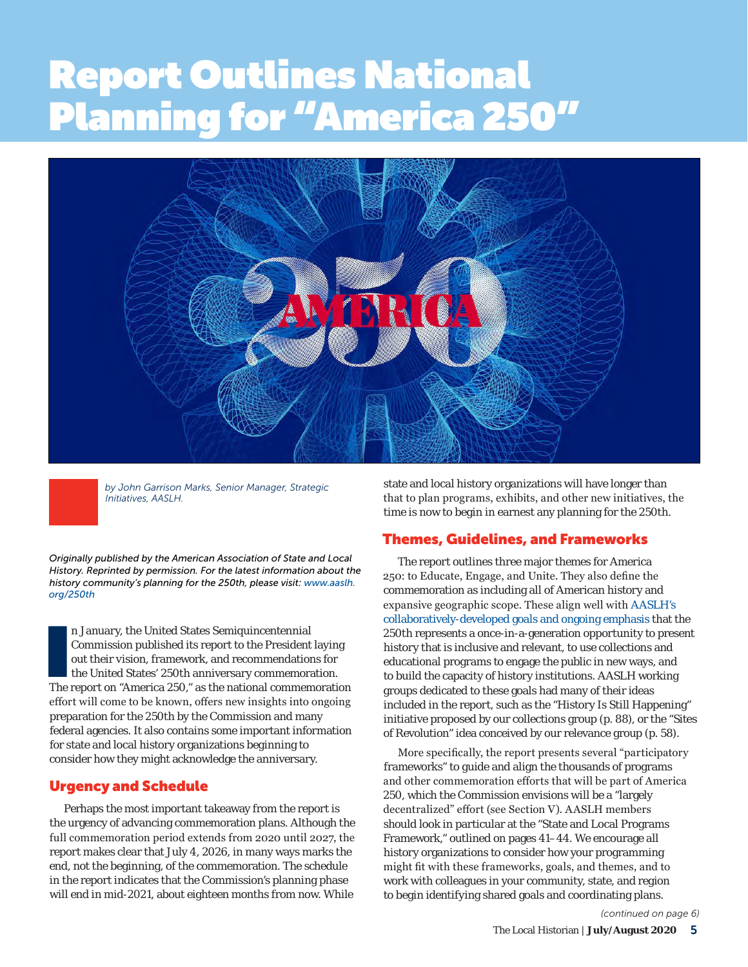# Report Outlines National Planning for "America 250" **text block starts here under the under the starts here under the starts here under**



*by John Garrison Marks, Senior Manager, Strategic Initiatives, AASLH.* 

*Originally published by the American Association of State and Local History. Reprinted by permission. For the latest information about the history community's planning for the 250th, please visit: [www.aaslh.](http://www.aaslh.org/250th) [org/250th](http://www.aaslh.org/250th)*

n January, the United States Semiquincentennial<br>Commission published its report to the President laying<br>out their vision, framework, and recommendations for<br>the United States' 250th anniversary commemoration.<br>The report on n January, the United States Semiquincentennial Commission published its report to the President laying out their vision, framework, and recommendations for the United States' 250th anniversary commemoration. effort will come to be known, offers new insights into ongoing preparation for the 250th by the Commission and many federal agencies. It also contains some important information for state and local history organizations beginning to consider how they might acknowledge the anniversary.

### Urgency and Schedule

Perhaps the most important takeaway from the report is the urgency of advancing commemoration plans. Although the full commemoration period extends from 2020 until 2027, the report makes clear that July 4, 2026, in many ways marks the end, not the beginning, of the commemoration. The schedule in the report indicates that the Commission's planning phase will end in mid-2021, about eighteen months from now. While

state and local history organizations will have longer than that to plan programs, exhibits, and other new initiatives, the time is now to begin in earnest any planning for the 250th.

### Themes, Guidelines, and Frameworks

The report outlines three major themes for America 250: to Educate, Engage, and Unite. They also define the commemoration as including all of American history and expansive geographic scope. These align well with [AASLH's](https://aaslh.org/250th/)  [collaboratively-developed goals and ongoing emphasis](https://aaslh.org/250th/) that the 250th represents a once-in-a-generation opportunity to present history that is inclusive and relevant, to use collections and educational programs to engage the public in new ways, and to build the capacity of history institutions. AASLH working groups dedicated to these goals had many of their ideas included in the report, such as the "History Is Still Happening" initiative proposed by our collections group (p. 88), or the "Sites of Revolution" idea conceived by our relevance group (p. 58).

More specifically, the report presents several "participatory frameworks" to guide and align the thousands of programs and other commemoration efforts that will be part of America 250, which the Commission envisions will be a "largely decentralized" effort (see Section V). AASLH members should look in particular at the "State and Local Programs Framework," outlined on pages 41–44. We encourage all history organizations to consider how your programming might fit with these frameworks, goals, and themes, and to work with colleagues in your community, state, and region to begin identifying shared goals and coordinating plans.

*(continued on page 6)*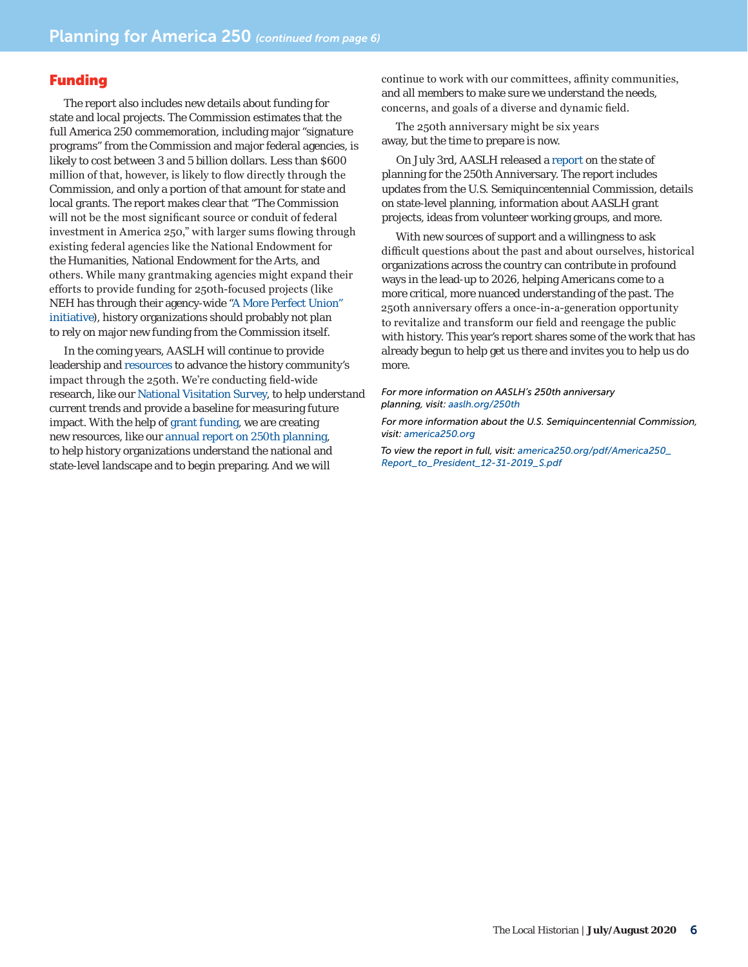### Funding

The report also includes new details about funding for state and local projects. The Commission estimates that the full America 250 commemoration, including major "signature programs" from the Commission and major federal agencies, is likely to cost between 3 and 5 billion dollars. Less than \$600 million of that, however, is likely to flow directly through the Commission, and only a portion of that amount for state and local grants. The report makes clear that "The Commission will not be the most significant source or conduit of federal investment in America 250," with larger sums flowing through existing federal agencies like the National Endowment for the Humanities, National Endowment for the Arts, and others. While many grantmaking agencies might expand their efforts to provide funding for 250th-focused projects (like NEH has through their agency-wide ["A More Perfect Union"](https://www.neh.gov/news/more-perfect-union)  [initiative](https://www.neh.gov/news/more-perfect-union)), history organizations should probably not plan to rely on major new funding from the Commission itself.

In the coming years, AASLH will continue to provide leadership and [resources](https://aaslh.org/250th/) to advance the history community's impact through the 250th. We're conducting field-wide research, like our [National Visitation Survey](https://www.surveymonkey.com/r/Visitation2020), to help understand current trends and provide a baseline for measuring future impact. With the help of [grant funding](https://aaslh.org/aaslh-neh-grant-250/), we are creating new resources, like our [annual report on 250th planning](mailto:https://aaslh.org/wp-content/uploads/2020/02/2019USA250.pdf?subject=), to help history organizations understand the national and state-level landscape and to begin preparing. And we will

continue to work with our committees, affinity communities, and all members to make sure we understand the needs, concerns, and goals of a diverse and dynamic field.

The 250th anniversary might be six years away, but the time to prepare is now.

On July 3rd, AASLH released a [report](http://download.aaslh.org/USA+250/2020+AASLH+250th+Report.pdf) on the state of planning for the 250th Anniversary. The report includes updates from the U.S. Semiquincentennial Commission, details on state-level planning, information about AASLH grant projects, ideas from volunteer working groups, and more.

With new sources of support and a willingness to ask difficult questions about the past and about ourselves, historical organizations across the country can contribute in profound ways in the lead-up to 2026, helping Americans come to a more critical, more nuanced understanding of the past. The 250th anniversary offers a once-in-a-generation opportunity to revitalize and transform our field and reengage the public with history. This year's report shares some of the work that has already begun to help get us there and invites you to help us do more.

*For more information on AASLH's 250th anniversary planning, visit: [aaslh.org/250th](http://aaslh.org/250th)*

*For more information about the U.S. Semiquincentennial Commission, visit: [america250.org](http://america250.org)*

*To view the report in full, visit: [america250.org/pdf/America250\\_](http://america250.org/pdf/America250_Report_to_President_12-31-2019_S.pdf) [Report\\_to\\_President\\_12-31-2019\\_S.pdf](http://america250.org/pdf/America250_Report_to_President_12-31-2019_S.pdf)*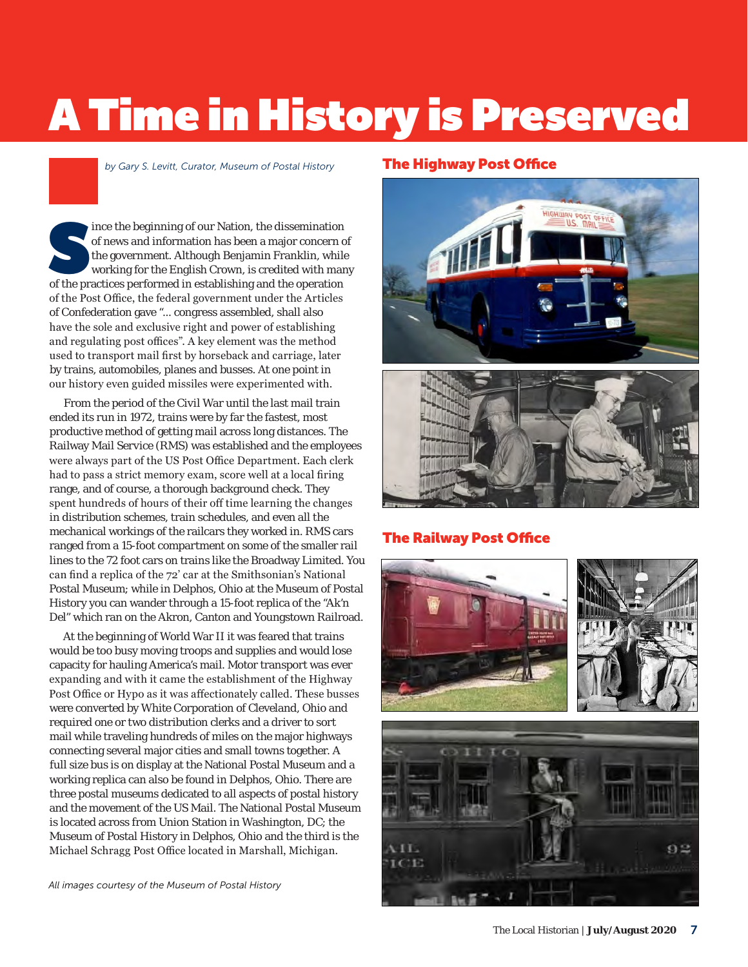# A Time in History is Preserved

*by Gary S. Levitt, Curator, Museum of Postal History* 

ince the beginning of our Nation, the dissemination<br>of news and information has been a major concern of<br>the government. Although Benjamin Franklin, while<br>working for the English Crown, is credited with man<br>of the practices of news and information has been a major concern of the government. Although Benjamin Franklin, while working for the English Crown, is credited with many of the practices performed in establishing and the operation of the Post Office, the federal government under the Articles of Confederation gave "... congress assembled, shall also have the sole and exclusive right and power of establishing and regulating post offices". A key element was the method used to transport mail first by horseback and carriage, later by trains, automobiles, planes and busses. At one point in our history even guided missiles were experimented with.

From the period of the Civil War until the last mail train ended its run in 1972, trains were by far the fastest, most productive method of getting mail across long distances. The Railway Mail Service (RMS) was established and the employees were always part of the US Post Office Department. Each clerk had to pass a strict memory exam, score well at a local firing range, and of course, a thorough background check. They spent hundreds of hours of their off time learning the changes in distribution schemes, train schedules, and even all the mechanical workings of the railcars they worked in. RMS cars ranged from a 15-foot compartment on some of the smaller rail lines to the 72 foot cars on trains like the Broadway Limited. You can find a replica of the 72' car at the Smithsonian's National Postal Museum; while in Delphos, Ohio at the Museum of Postal History you can wander through a 15-foot replica of the "Ak'n Del" which ran on the Akron, Canton and Youngstown Railroad.

At the beginning of World War II it was feared that trains would be too busy moving troops and supplies and would lose capacity for hauling America's mail. Motor transport was ever expanding and with it came the establishment of the Highway Post Office or Hypo as it was affectionately called. These busses were converted by White Corporation of Cleveland, Ohio and required one or two distribution clerks and a driver to sort mail while traveling hundreds of miles on the major highways connecting several major cities and small towns together. A full size bus is on display at the National Postal Museum and a working replica can also be found in Delphos, Ohio. There are three postal museums dedicated to all aspects of postal history and the movement of the US Mail. The National Postal Museum is located across from Union Station in Washington, DC; the Museum of Postal History in Delphos, Ohio and the third is the Michael Schragg Post Office located in Marshall, Michigan.

*All images courtesy of the Museum of Postal History*

### The Highway Post Office





### The Railway Post Office

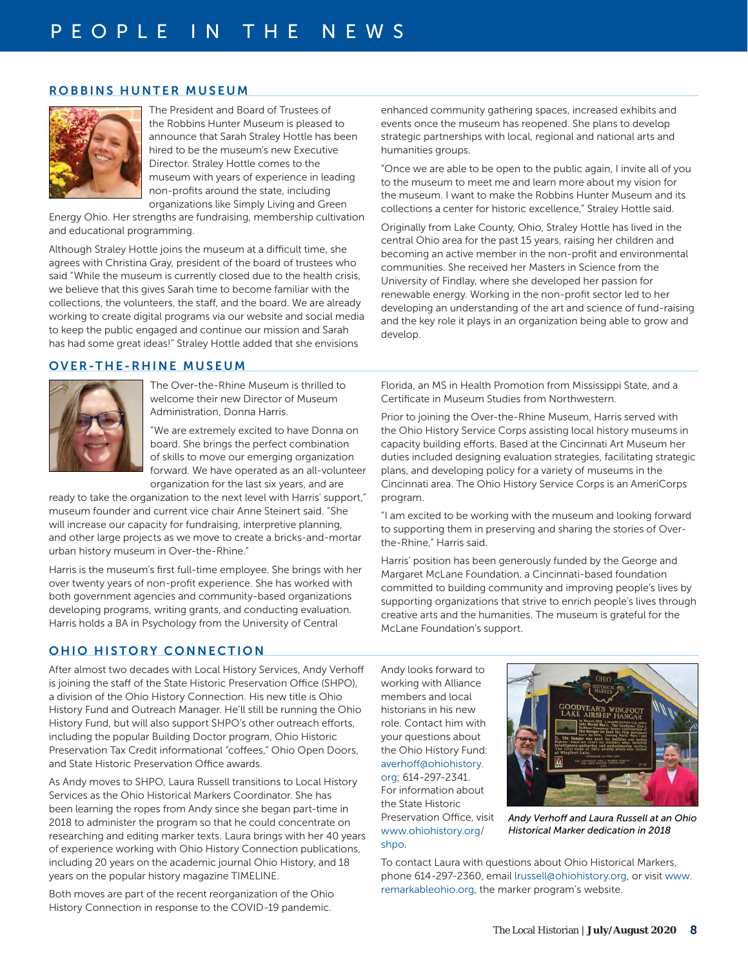### ROBBINS HUNTER MUSEUM



The President and Board of Trustees of the Robbins Hunter Museum is pleased to announce that Sarah Straley Hottle has been hired to be the museum's new Executive Director. Straley Hottle comes to the museum with years of experience in leading non-profits around the state, including organizations like Simply Living and Green

Energy Ohio. Her strengths are fundraising, membership cultivation and educational programming.

Although Straley Hottle joins the museum at a difficult time, she agrees with Christina Gray, president of the board of trustees who said "While the museum is currently closed due to the health crisis, we believe that this gives Sarah time to become familiar with the collections, the volunteers, the staff, and the board. We are already working to create digital programs via our website and social media to keep the public engaged and continue our mission and Sarah has had some great ideas!" Straley Hottle added that she envisions

### OVER-THE-RHINE MUSEUM



The Over-the-Rhine Museum is thrilled to welcome their new Director of Museum Administration, Donna Harris.

"We are extremely excited to have Donna on board. She brings the perfect combination of skills to move our emerging organization forward. We have operated as an all-volunteer organization for the last six years, and are

ready to take the organization to the next level with Harris' support," museum founder and current vice chair Anne Steinert said. "She will increase our capacity for fundraising, interpretive planning, and other large projects as we move to create a bricks-and-mortar urban history museum in Over-the-Rhine."

Harris is the museum's first full-time employee. She brings with her over twenty years of non-profit experience. She has worked with both government agencies and community-based organizations developing programs, writing grants, and conducting evaluation. Harris holds a BA in Psychology from the University of Central

Florida, an MS in Health Promotion from Mississippi State, and a Certificate in Museum Studies from Northwestern.

enhanced community gathering spaces, increased exhibits and events once the museum has reopened. She plans to develop strategic partnerships with local, regional and national arts and

"Once we are able to be open to the public again, I invite all of you to the museum to meet me and learn more about my vision for the museum. I want to make the Robbins Hunter Museum and its collections a center for historic excellence," Straley Hottle said. Originally from Lake County, Ohio, Straley Hottle has lived in the central Ohio area for the past 15 years, raising her children and becoming an active member in the non-profit and environmental communities. She received her Masters in Science from the University of Findlay, where she developed her passion for renewable energy. Working in the non-profit sector led to her developing an understanding of the art and science of fund-raising and the key role it plays in an organization being able to grow and

humanities groups.

develop.

Prior to joining the Over-the-Rhine Museum, Harris served with the Ohio History Service Corps assisting local history museums in capacity building efforts. Based at the Cincinnati Art Museum her duties included designing evaluation strategies, facilitating strategic plans, and developing policy for a variety of museums in the Cincinnati area. The Ohio History Service Corps is an AmeriCorps program.

"I am excited to be working with the museum and looking forward to supporting them in preserving and sharing the stories of Overthe-Rhine," Harris said.

Harris' position has been generously funded by the George and Margaret McLane Foundation, a Cincinnati-based foundation committed to building community and improving people's lives by supporting organizations that strive to enrich people's lives through creative arts and the humanities. The museum is grateful for the McLane Foundation's support.

### OHIO HISTORY CONNECTION

After almost two decades with Local History Services, Andy Verhoff is joining the staff of the State Historic Preservation Office (SHPO), a division of the Ohio History Connection. His new title is Ohio History Fund and Outreach Manager. He'll still be running the Ohio History Fund, but will also support SHPO's other outreach efforts, including the popular Building Doctor program, Ohio Historic Preservation Tax Credit informational "coffees," Ohio Open Doors, and State Historic Preservation Office awards.

As Andy moves to SHPO, Laura Russell transitions to Local History Services as the Ohio Historical Markers Coordinator. She has been learning the ropes from Andy since she began part-time in 2018 to administer the program so that he could concentrate on researching and editing marker texts. Laura brings with her 40 years of experience working with Ohio History Connection publications, including 20 years on the academic journal Ohio History, and 18 years on the popular history magazine TIMELINE.

Both moves are part of the recent reorganization of the Ohio History Connection in response to the COVID-19 pandemic.

Andy looks forward to working with Alliance members and local historians in his new role. Contact him with your questions about the Ohio History Fund: [averhoff@ohiohistory.](mailto:averhoff@ohiohistory.org) [org](mailto:averhoff@ohiohistory.org); 614-297-2341. For information about the State Historic Preservation Office, visit [www.ohiohistory.org/](http://www.ohiohistory.org/shpo) [shpo](http://www.ohiohistory.org/shpo).



*Andy Verhoff and Laura Russell at an Ohio Historical Marker dedication in 2018*

To contact Laura with questions about Ohio Historical Markers, phone 614-297-2360, email [lrussell@ohiohistory.org](mailto:lrussell@ohiohistory.org), or visit [www.](http://www.remarkableohio.org) [remarkableohio.org](http://www.remarkableohio.org), the marker program's website.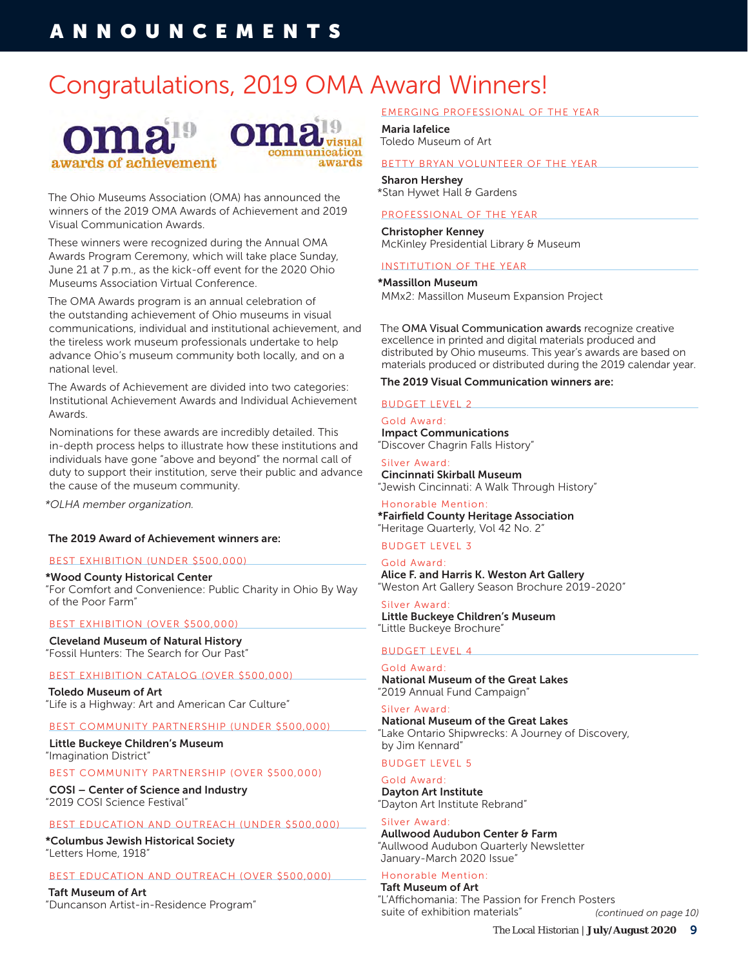# Congratulations, 2019 OMA Award Winners!





The Ohio Museums Association (OMA) has announced the winners of the 2019 OMA Awards of Achievement and 2019 Visual Communication Awards.

These winners were recognized during the Annual OMA Awards Program Ceremony, which will take place Sunday, June 21 at 7 p.m., as the kick-off event for the 2020 Ohio Museums Association Virtual Conference.

The OMA Awards program is an annual celebration of the outstanding achievement of Ohio museums in visual communications, individual and institutional achievement, and the tireless work museum professionals undertake to help advance Ohio's museum community both locally, and on a national level.

The Awards of Achievement are divided into two categories: Institutional Achievement Awards and Individual Achievement Awards.

Nominations for these awards are incredibly detailed. This in-depth process helps to illustrate how these institutions and individuals have gone "above and beyond" the normal call of duty to support their institution, serve their public and advance the cause of the museum community.

*\*OLHA member organization.*

### The 2019 Award of Achievement winners are:

### BEST EXHIBITION (UNDER \$500,000)

\*Wood County Historical Center "For Comfort and Convenience: Public Charity in Ohio By Way of the Poor Farm"

### BEST EXHIBITION (OVER \$500,000)

Cleveland Museum of Natural History "Fossil Hunters: The Search for Our Past"

### BEST EXHIBITION CATALOG (OVER \$500,000)

Toledo Museum of Art "Life is a Highway: Art and American Car Culture"

### BEST COMMUNITY PARTNERSHIP (UNDER \$500,000)

Little Buckeye Children's Museum "Imagination District"

### BEST COMMUNITY PARTNERSHIP (OVER \$500,000)

COSI – Center of Science and Industry "2019 COSI Science Festival"

### BEST EDUCATION AND OUTREACH (UNDER \$500,000)

\*Columbus Jewish Historical Society "Letters Home, 1918"

### BEST EDUCATION AND OUTREACH (OVER \$500,000)

Taft Museum of Art "Duncanson Artist-in-Residence Program"

### EMERGING PROFESSIONAL OF THE YEAR

Maria Iafelice Toledo Museum of Art

### BETTY BRYAN VOLUNTEER OF THE YEAR

Sharon Hershey \*Stan Hywet Hall & Gardens

### PROFESSIONAL OF THE YEAR

Christopher Kenney McKinley Presidential Library & Museum

### INSTITUTION OF THE YEAR

### \*Massillon Museum

MMx2: Massillon Museum Expansion Project

The OMA Visual Communication awards recognize creative excellence in printed and digital materials produced and distributed by Ohio museums. This year's awards are based on materials produced or distributed during the 2019 calendar year.

### The 2019 Visual Communication winners are:

### BUDGET LEVEL 2

Gold Award: Impact Communications "Discover Chagrin Falls History"

Silver Award: Cincinnati Skirball Museum "Jewish Cincinnati: A Walk Through History"

Honorable Mention: \*Fairfield County Heritage Association "Heritage Quarterly, Vol 42 No. 2"

### BUDGET LEVEL 3

Gold Award: Alice F. and Harris K. Weston Art Gallery "Weston Art Gallery Season Brochure 2019-2020"

Silver Award: Little Buckeye Children's Museum "Little Buckeye Brochure"

### BUDGET LEVEL 4

Gold Award: National Museum of the Great Lakes "2019 Annual Fund Campaign"

### Silver Award:

National Museum of the Great Lakes "Lake Ontario Shipwrecks: A Journey of Discovery, by Jim Kennard"

### BUDGET LEVEL 5

### Gold Award:

Dayton Art Institute "Dayton Art Institute Rebrand"

### Silver Award:

Aullwood Audubon Center & Farm "Aullwood Audubon Quarterly Newsletter January-March 2020 Issue"

#### Honorable Mention: Taft Museum of Art

"L'Affichomania: The Passion for French Posters suite of exhibition materials" *(continued on page 10)*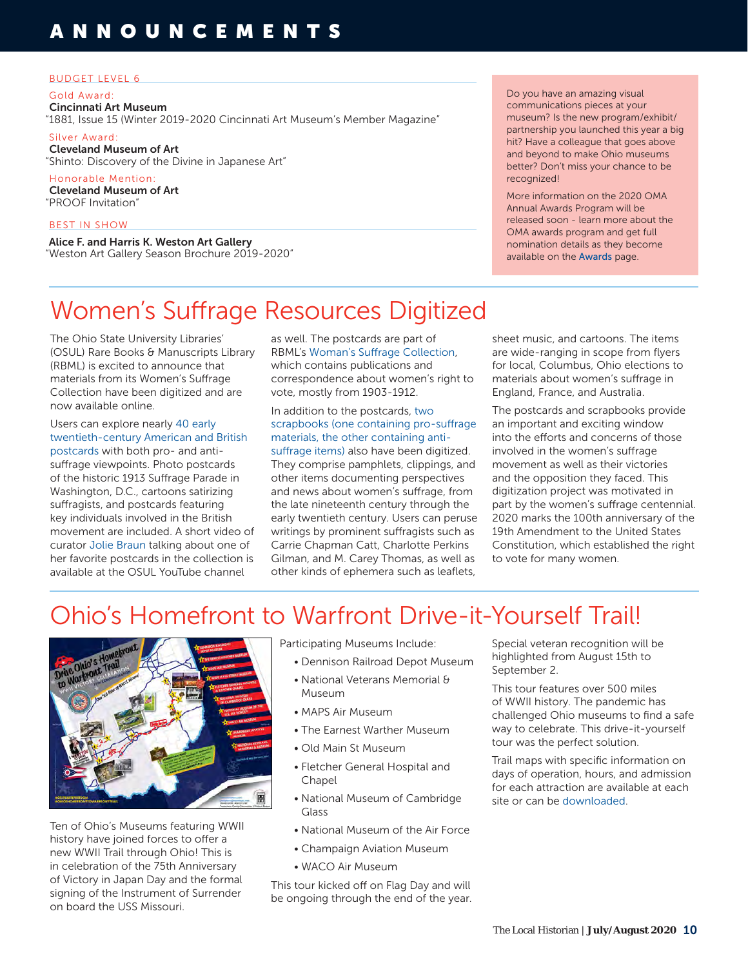### BUDGET LEVEL 6

Gold Award:

Cincinnati Art Museum "1881, Issue 15 (Winter 2019-2020 Cincinnati Art Museum's Member Magazine"

Silver Award: Cleveland Museum of Art "Shinto: Discovery of the Divine in Japanese Art"

Honorable Mention: Cleveland Museum of Art "PROOF Invitation"

### BEST IN SHOW

Alice F. and Harris K. Weston Art Gallery "Weston Art Gallery Season Brochure 2019-2020" Do you have an amazing visual communications pieces at your museum? Is the new program/exhibit/ partnership you launched this year a big hit? Have a colleague that goes above and beyond to make Ohio museums better? Don't miss your chance to be recognized!

More information on the 2020 OMA Annual Awards Program will be released soon - learn more about the OMA awards program and get full nomination details as they become available on the [Awards](https://www.ohiomuseums.org//Public/Public/Awards.aspx) page.

# Women's Suffrage Resources Digitized

The Ohio State University Libraries' (OSUL) Rare Books & Manuscripts Library (RBML) is excited to announce that materials from its Women's Suffrage Collection have been digitized and are now available online.

Users can explore nearly [40 early](https://library.osu.edu/dc/catalog?utf8=%E2%9C%93&locale=en&search_field=all_fields&q=suffrage+postcard)  [twentieth-century American and British](https://library.osu.edu/dc/catalog?utf8=%E2%9C%93&locale=en&search_field=all_fields&q=suffrage+postcard)  [postcards](https://library.osu.edu/dc/catalog?utf8=%E2%9C%93&locale=en&search_field=all_fields&q=suffrage+postcard) with both pro- and antisuffrage viewpoints. Photo postcards of the historic 1913 Suffrage Parade in Washington, D.C., cartoons satirizing suffragists, and postcards featuring key individuals involved in the British movement are included. A short video of curator [Jolie Braun](https://www.youtube.com/watch?v=HgekCDb_t88&t=4s) talking about one of her favorite postcards in the collection is available at the OSUL YouTube channel

as well. The postcards are part of RBML's [Woman's Suffrage Collection,](https://library.osu.edu/collections/spec.rare.cms.0287) which contains publications and correspondence about women's right to vote, mostly from 1903-1912.

In addition to the postcards, [two](https://library.osu.edu/dc/catalog?utf8=%E2%9C%93&locale=en&search_field=all_fields&q=suffrage+scrapbook)  [scrapbooks \(one containing pro-suffrage](https://library.osu.edu/dc/catalog?utf8=%E2%9C%93&locale=en&search_field=all_fields&q=suffrage+scrapbook)  [materials, the other containing anti](https://library.osu.edu/dc/catalog?utf8=%E2%9C%93&locale=en&search_field=all_fields&q=suffrage+scrapbook)[suffrage items\)](https://library.osu.edu/dc/catalog?utf8=%E2%9C%93&locale=en&search_field=all_fields&q=suffrage+scrapbook) also have been digitized. They comprise pamphlets, clippings, and other items documenting perspectives and news about women's suffrage, from the late nineteenth century through the early twentieth century. Users can peruse writings by prominent suffragists such as Carrie Chapman Catt, Charlotte Perkins Gilman, and M. Carey Thomas, as well as other kinds of ephemera such as leaflets,

sheet music, and cartoons. The items are wide-ranging in scope from flyers for local, Columbus, Ohio elections to materials about women's suffrage in England, France, and Australia.

The postcards and scrapbooks provide an important and exciting window into the efforts and concerns of those involved in the women's suffrage movement as well as their victories and the opposition they faced. This digitization project was motivated in part by the women's suffrage centennial. 2020 marks the 100th anniversary of the 19th Amendment to the United States Constitution, which established the right to vote for many women.

# Ohio's Homefront to Warfront Drive-it-Yourself Trail!



Ten of Ohio's Museums featuring WWII history have joined forces to offer a new WWII Trail through Ohio! This is in celebration of the 75th Anniversary of Victory in Japan Day and the formal signing of the Instrument of Surrender on board the USS Missouri.

Participating Museums Include:

- Dennison Railroad Depot Museum
- National Veterans Memorial & Museum
- MAPS Air Museum
- The Earnest Warther Museum
- Old Main St Museum
- Fletcher General Hospital and Chapel
- National Museum of Cambridge Glass
- National Museum of the Air Force
- Champaign Aviation Museum
- WACO Air Museum

This tour kicked off on Flag Day and will be ongoing through the end of the year. Special veteran recognition will be highlighted from August 15th to September 2.

This tour features over 500 miles of WWII history. The pandemic has challenged Ohio museums to find a safe way to celebrate. This drive-it-yourself tour was the perfect solution.

Trail maps with specific information on days of operation, hours, and admission for each attraction are available at each site or can be [downloaded](https://drive.google.com/file/d/1h1T9iutd71qrljcMXvurQqmjMwvz0tIy/view).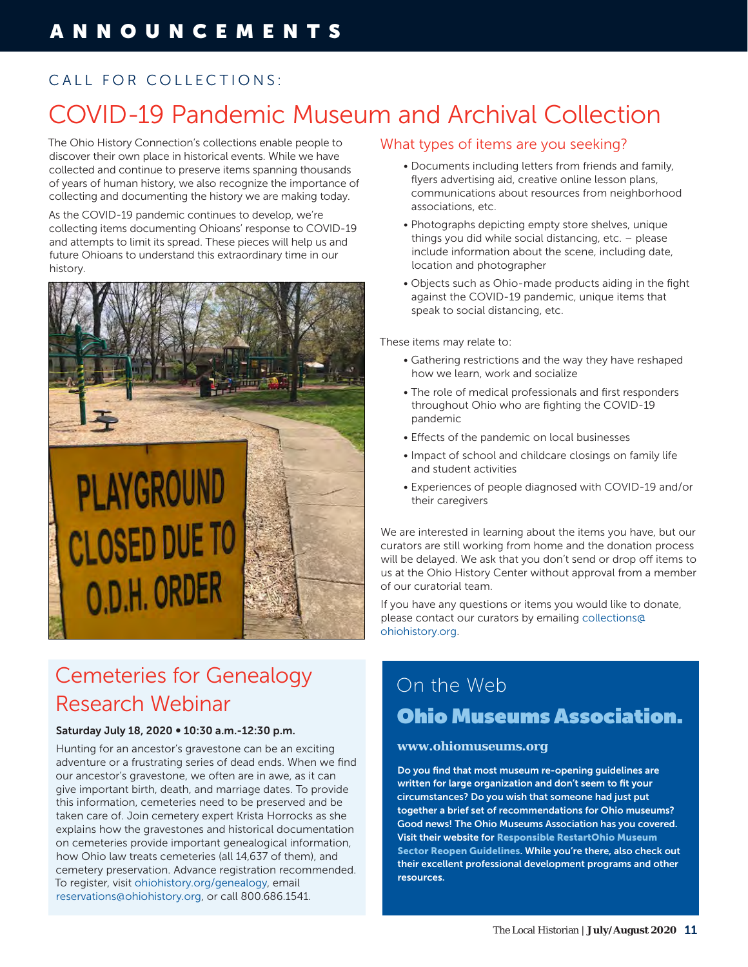# CALL FOR COLLECTIONS:

# COVID-19 Pandemic Museum and Archival Collection

The Ohio History Connection's collections enable people to discover their own place in historical events. While we have collected and continue to preserve items spanning thousands of years of human history, we also recognize the importance of collecting and documenting the history we are making today.

As the COVID-19 pandemic continues to develop, we're collecting items documenting Ohioans' response to COVID-19 and attempts to limit its spread. These pieces will help us and future Ohioans to understand this extraordinary time in our history.



# **PLAYGROUND CLOSED DUE TO** O.D.H. ORDER



# Cemeteries for Genealogy Research Webinar

### Saturday July 18, 2020 ∞ 10:30 a.m.-12:30 p.m.

Hunting for an ancestor's gravestone can be an exciting adventure or a frustrating series of dead ends. When we find our ancestor's gravestone, we often are in awe, as it can give important birth, death, and marriage dates. To provide this information, cemeteries need to be preserved and be taken care of. Join cemetery expert Krista Horrocks as she explains how the gravestones and historical documentation on cemeteries provide important genealogical information, how Ohio law treats cemeteries (all 14,637 of them), and cemetery preservation. Advance registration recommended. To register, visit [ohiohistory.org/genealogy,](http://ohiohistory.org/genealogy) email [reservations@ohiohistory.org,](mailto:reservations@ohiohistory.org) or call 800.686.1541.

### What types of items are you seeking?

- Documents including letters from friends and family, flyers advertising aid, creative online lesson plans, communications about resources from neighborhood associations, etc.
- Photographs depicting empty store shelves, unique things you did while social distancing, etc. – please include information about the scene, including date, location and photographer
- Objects such as Ohio-made products aiding in the fight against the COVID-19 pandemic, unique items that speak to social distancing, etc.

These items may relate to:

- Gathering restrictions and the way they have reshaped how we learn, work and socialize
- The role of medical professionals and first responders throughout Ohio who are fighting the COVID-19 pandemic
- Effects of the pandemic on local businesses
- Impact of school and childcare closings on family life and student activities
- Experiences of people diagnosed with COVID-19 and/or their caregivers

We are interested in learning about the items you have, but our curators are still working from home and the donation process will be delayed. We ask that you don't send or drop off items to us at the Ohio History Center without approval from a member of our curatorial team.

If you have any questions or items you would like to donate, please contact our curators by emailing [collections@](mailto:collections@ohiohistory.org) [ohiohistory.org.](mailto:collections@ohiohistory.org)

# On the Web Ohio Museums Association.

### **[www.ohiomuseums.org](http://www.ohiomuseums.org)**

Do you find that most museum re-opening guidelines are written for large organization and don't seem to fit your circumstances? Do you wish that someone had just put together a brief set of recommendations for Ohio museums? Good news! The Ohio Museums Association has you covered. Visit their website for [Responsible RestartOhio Museum](https://www.ohiomuseums.org/Public/Blog_Posts/Reopen-Resources-for-Museums.aspx)  [Sector Reopen Guidelines](https://www.ohiomuseums.org/Public/Blog_Posts/Reopen-Resources-for-Museums.aspx). While you're there, also check out their excellent professional development programs and other resources.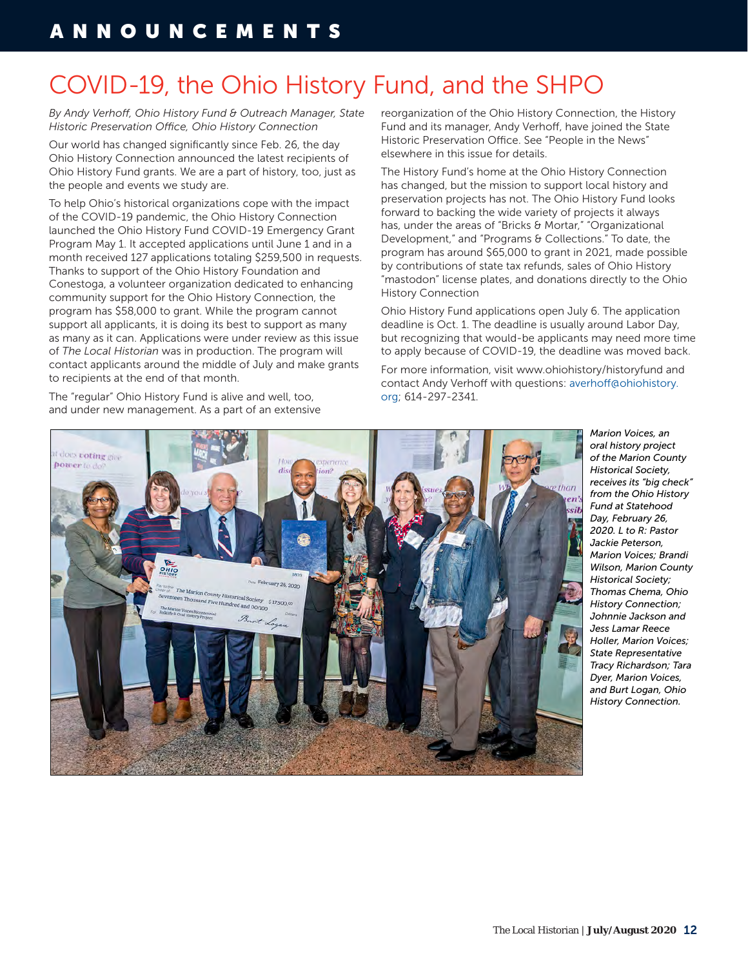# COVID-19, the Ohio History Fund, and the SHPO

*By Andy Verhoff, Ohio History Fund & Outreach Manager, State Historic Preservation Office, Ohio History Connection*

Our world has changed significantly since Feb. 26, the day Ohio History Connection announced the latest recipients of Ohio History Fund grants. We are a part of history, too, just as the people and events we study are.

To help Ohio's historical organizations cope with the impact of the COVID-19 pandemic, the Ohio History Connection launched the Ohio History Fund COVID-19 Emergency Grant Program May 1. It accepted applications until June 1 and in a month received 127 applications totaling \$259,500 in requests. Thanks to support of the Ohio History Foundation and Conestoga, a volunteer organization dedicated to enhancing community support for the Ohio History Connection, the program has \$58,000 to grant. While the program cannot support all applicants, it is doing its best to support as many as many as it can. Applications were under review as this issue of *The Local Historian* was in production. The program will contact applicants around the middle of July and make grants to recipients at the end of that month.

The "regular" Ohio History Fund is alive and well, too, and under new management. As a part of an extensive reorganization of the Ohio History Connection, the History Fund and its manager, Andy Verhoff, have joined the State Historic Preservation Office. See "People in the News" elsewhere in this issue for details.

The History Fund's home at the Ohio History Connection has changed, but the mission to support local history and preservation projects has not. The Ohio History Fund looks forward to backing the wide variety of projects it always has, under the areas of "Bricks & Mortar," "Organizational Development," and "Programs & Collections." To date, the program has around \$65,000 to grant in 2021, made possible by contributions of state tax refunds, sales of Ohio History "mastodon" license plates, and donations directly to the Ohio History Connection

Ohio History Fund applications open July 6. The application deadline is Oct. 1. The deadline is usually around Labor Day, but recognizing that would-be applicants may need more time to apply because of COVID-19, the deadline was moved back.

For more information, visit www.ohiohistory/historyfund and contact Andy Verhoff with questions: [averhoff@ohiohistory.](mailto:averhoff@ohiohistory.org) [org](mailto:averhoff@ohiohistory.org); 614-297-2341.



*Marion Voices, an oral history project of the Marion County Historical Society, receives its "big check" from the Ohio History Fund at Statehood Day, February 26, 2020. L to R: Pastor Jackie Peterson, Marion Voices; Brandi Wilson, Marion County Historical Society; Thomas Chema, Ohio History Connection; Johnnie Jackson and Jess Lamar Reece Holler, Marion Voices; State Representative Tracy Richardson; Tara Dyer, Marion Voices, and Burt Logan, Ohio History Connection.*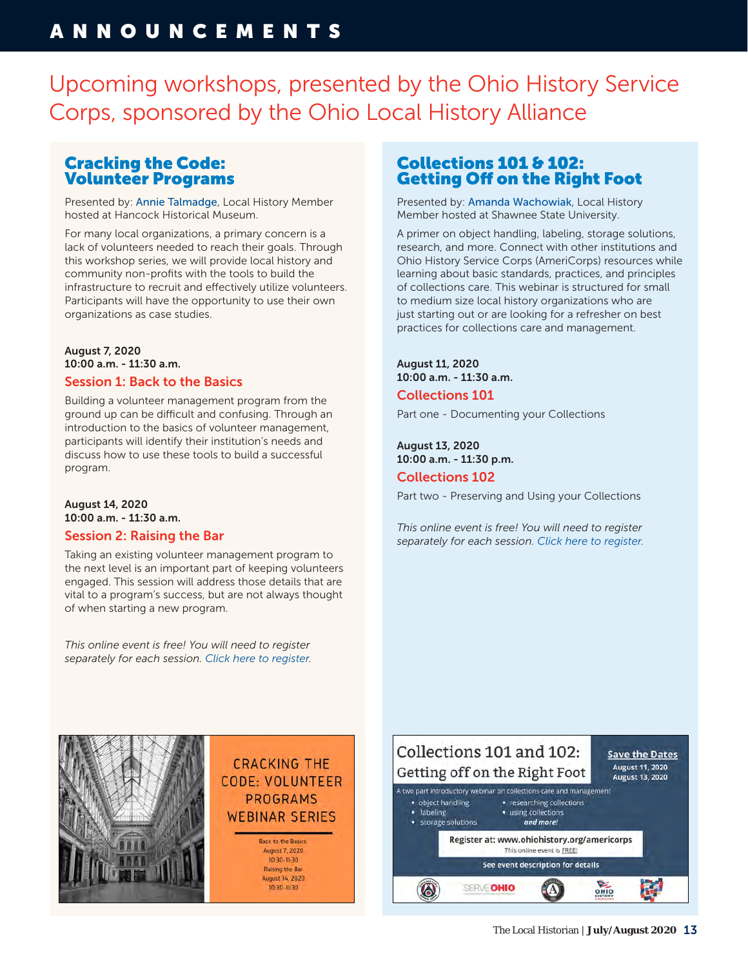Upcoming workshops, presented by the Ohio History Service Corps, sponsored by the Ohio Local History Alliance

### Cracking the Code: Volunteer Programs

Presented by: [Annie Talmadge](https://www.ohiohistory.org/preserve/local-history-services/americorps/member-directory), Local History Member hosted at Hancock Historical Museum.

For many local organizations, a primary concern is a lack of volunteers needed to reach their goals. Through this workshop series, we will provide local history and community non-profits with the tools to build the infrastructure to recruit and effectively utilize volunteers. Participants will have the opportunity to use their own organizations as case studies.

### August 7, 2020 10:00 a.m. - 11:30 a.m. Session 1: Back to the Basics

Building a volunteer management program from the ground up can be difficult and confusing. Through an introduction to the basics of volunteer management, participants will identify their institution's needs and discuss how to use these tools to build a successful program.

### August 14, 2020 10:00 a.m. - 11:30 a.m.

### Session 2: Raising the Bar

Taking an existing volunteer management program to the next level is an important part of keeping volunteers engaged. This session will address those details that are vital to a program's success, but are not always thought of when starting a new program.

*This online event is free! You will need to register separately for each session. [Click here to register](mailto:https://www.ohiohistory.org/preserve/local-history-services/americorps/americorps-workshops-events?subject=).*

## Collections 101 & 102: Getting Off on the Right Foot

Presented by: [Amanda Wachowiak](https://www.ohiohistory.org/preserve/local-history-services/americorps/member-directory), Local History Member hosted at Shawnee State University.

A primer on object handling, labeling, storage solutions, research, and more. Connect with other institutions and Ohio History Service Corps (AmeriCorps) resources while learning about basic standards, practices, and principles of collections care. This webinar is structured for small to medium size local history organizations who are just starting out or are looking for a refresher on best practices for collections care and management.

August 11, 2020 10:00 a.m. - 11:30 a.m.

Collections 101

Part one - Documenting your Collections

August 13, 2020 10:00 a.m. - 11:30 p.m. Collections 102

Part two - Preserving and Using your Collections

*This online event is free! You will need to register separately for each session. [Click here to register.](https://www.ohiohistory.org/preserve/local-history-services/americorps/americorps-workshops-events)*



## **CRACKING THE CODE: VOLUNTEER PROGRAMS WEBINAR SERIES**

**Back to the Basics** August 7, 2020  $10:30 - 11:30$ Raising the Bar August 14, 2020 10:30-11:30

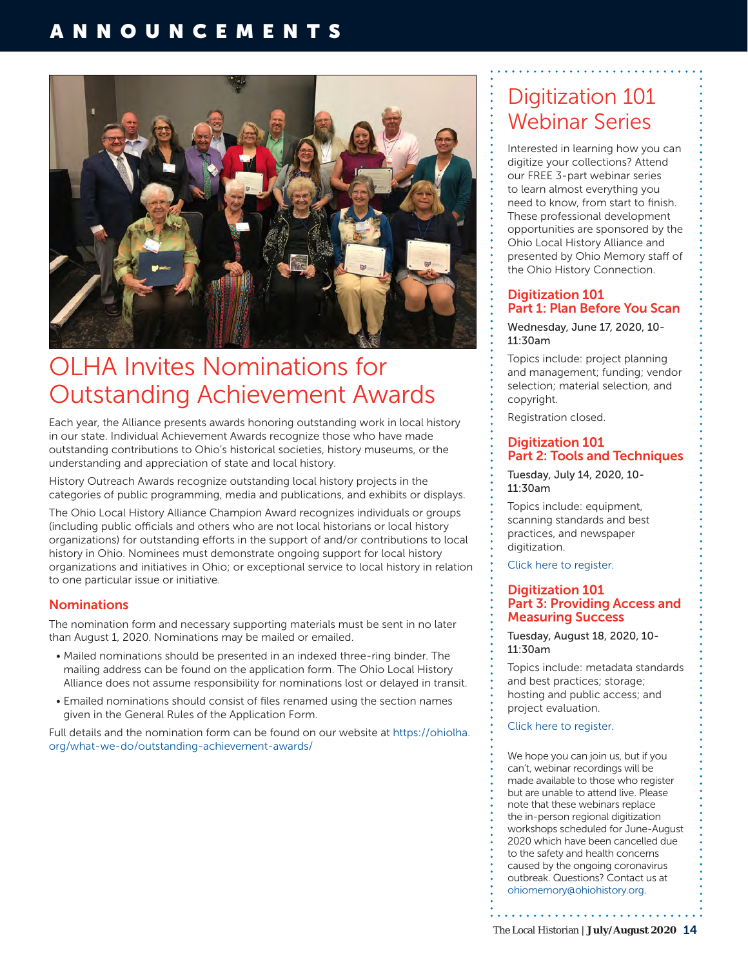

# OLHA Invites Nominations for Outstanding Achievement Awards

Each year, the Alliance presents awards honoring outstanding work in local history in our state. Individual Achievement Awards recognize those who have made outstanding contributions to Ohio's historical societies, history museums, or the understanding and appreciation of state and local history.

History Outreach Awards recognize outstanding local history projects in the categories of public programming, media and publications, and exhibits or displays.

The Ohio Local History Alliance Champion Award recognizes individuals or groups (including public officials and others who are not local historians or local history organizations) for outstanding efforts in the support of and/or contributions to local history in Ohio. Nominees must demonstrate ongoing support for local history organizations and initiatives in Ohio; or exceptional service to local history in relation to one particular issue or initiative.

### **Nominations**

The nomination form and necessary supporting materials must be sent in no later than August 1, 2020. Nominations may be mailed or emailed.

- Mailed nominations should be presented in an indexed three-ring binder. The mailing address can be found on the application form. The Ohio Local History Alliance does not assume responsibility for nominations lost or delayed in transit.
- Emailed nominations should consist of files renamed using the section names given in the General Rules of the Application Form.

Full details and the nomination form can be found on our website at [https://ohiolha.](https://ohiolha.org/what-we-do/outstanding-achievement-awards/) [org/what-we-do/outstanding-achievement-awards/](https://ohiolha.org/what-we-do/outstanding-achievement-awards/)

# Digitization 101 Webinar Series

Interested in learning how you can digitize your collections? Attend our FREE 3-part webinar series to learn almost everything you need to know, from start to finish. These professional development opportunities are sponsored by the Ohio Local History Alliance and presented by Ohio Memory staff of the Ohio History Connection.

### Digitization 101 Part 1: Plan Before You Scan

Wednesday, June 17, 2020, 10- 11:30am

Topics include: project planning and management; funding; vendor selection; material selection, and copyright.

Registration closed.

### Digitization 101 Part 2: Tools and Techniques

Tuesday, July 14, 2020, 10- 11:30am

Topics include: equipment, scanning standards and best practices, and newspaper digitization.

[Click here to register.](https://ohiohistory.zoom.us/webinar/register/WN_m_GJiPLaRZaEQciAtfyHBQ) 

### Digitization 101 Part 3: Providing Access and Measuring Success

Tuesday, August 18, 2020, 10- 11:30am

Topics include: metadata standards and best practices; storage; hosting and public access; and project evaluation.

[Click here to register.](https://ohiohistory.zoom.us/webinar/register/WN_D-eLl4wmT6K2m_IrPw2rGQ)

We hope you can join us, but if you can't, webinar recordings will be made available to those who register but are unable to attend live. Please note that these webinars replace the in-person regional digitization workshops scheduled for June-August 2020 which have been cancelled due to the safety and health concerns caused by the ongoing coronavirus outbreak. Questions? Contact us at [ohiomemory@ohiohistory.org](mailto:ohiomemory@ohiohistory.org).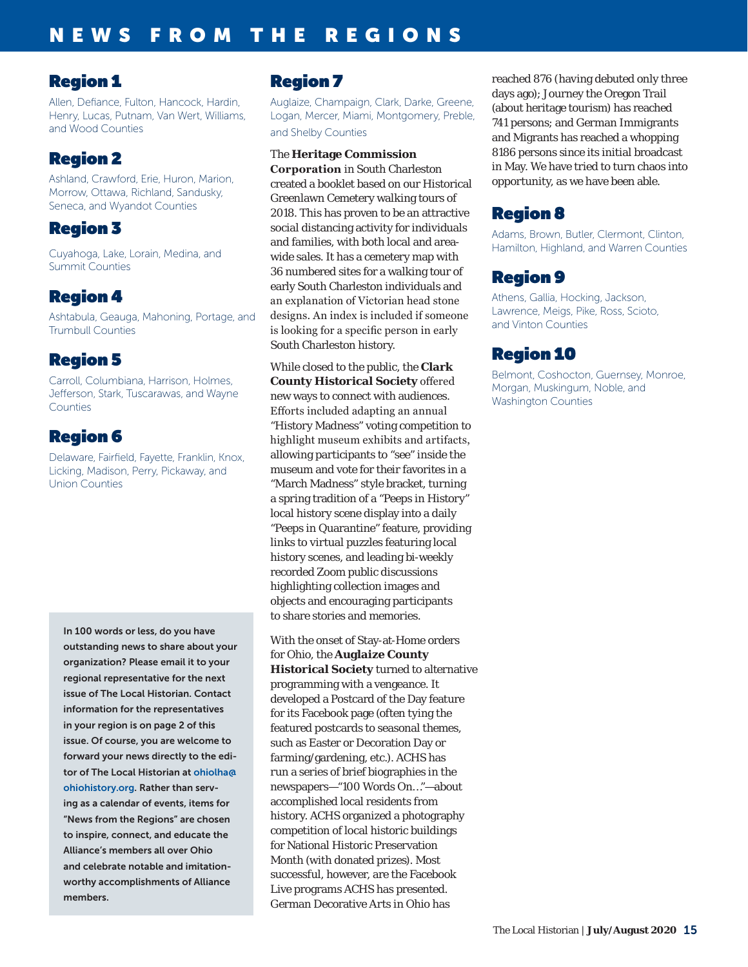## Region 1

Allen, Defiance, Fulton, Hancock, Hardin, Henry, Lucas, Putnam, Van Wert, Williams, and Wood Counties

# Region 2

Ashland, Crawford, Erie, Huron, Marion, Morrow, Ottawa, Richland, Sandusky, Seneca, and Wyandot Counties

## Region 3

Cuyahoga, Lake, Lorain, Medina, and Summit Counties

# Region 4

Ashtabula, Geauga, Mahoning, Portage, and Trumbull Counties

# Region 5

Carroll, Columbiana, Harrison, Holmes, Jefferson, Stark, Tuscarawas, and Wayne Counties

# Region 6

Delaware, Fairfield, Fayette, Franklin, Knox, Licking, Madison, Perry, Pickaway, and Union Counties

In 100 words or less, do you have outstanding news to share about your organization? Please email it to your regional representative for the next issue of The Local Historian. Contact information for the representatives in your region is on page 2 of this issue. Of course, you are welcome to forward your news directly to the editor of The Local Historian at [ohiolha@](mailto:ohiolha%40ohiohistory.org?subject=) [ohiohistory.org](mailto:ohiolha%40ohiohistory.org?subject=). Rather than serving as a calendar of events, items for "News from the Regions" are chosen to inspire, connect, and educate the Alliance's members all over Ohio and celebrate notable and imitationworthy accomplishments of Alliance members.

# Region 7

Auglaize, Champaign, Clark, Darke, Greene, Logan, Mercer, Miami, Montgomery, Preble, and Shelby Counties

### The **Heritage Commission**

**Corporation** in South Charleston created a booklet based on our Historical Greenlawn Cemetery walking tours of 2018. This has proven to be an attractive social distancing activity for individuals and families, with both local and areawide sales. It has a cemetery map with 36 numbered sites for a walking tour of early South Charleston individuals and an explanation of Victorian head stone designs. An index is included if someone is looking for a specific person in early South Charleston history.

While closed to the public, the **Clark County Historical Society** offered new ways to connect with audiences. Efforts included adapting an annual "History Madness" voting competition to highlight museum exhibits and artifacts, allowing participants to "see" inside the museum and vote for their favorites in a "March Madness" style bracket, turning a spring tradition of a "Peeps in History" local history scene display into a daily "Peeps in Quarantine" feature, providing links to virtual puzzles featuring local history scenes, and leading bi-weekly recorded Zoom public discussions highlighting collection images and objects and encouraging participants to share stories and memories.

With the onset of Stay-at-Home orders for Ohio, the **Auglaize County Historical Society** turned to alternative programming with a vengeance. It developed a Postcard of the Day feature for its Facebook page (often tying the featured postcards to seasonal themes, such as Easter or Decoration Day or farming/gardening, etc.). ACHS has run a series of brief biographies in the newspapers—"100 Words On…"—about accomplished local residents from history. ACHS organized a photography competition of local historic buildings for National Historic Preservation Month (with donated prizes). Most successful, however, are the Facebook Live programs ACHS has presented. German Decorative Arts in Ohio has

reached 876 (having debuted only three days ago); Journey the Oregon Trail (about heritage tourism) has reached 741 persons; and German Immigrants and Migrants has reached a whopping 8186 persons since its initial broadcast in May. We have tried to turn chaos into opportunity, as we have been able.

# Region 8

Adams, Brown, Butler, Clermont, Clinton, Hamilton, Highland, and Warren Counties

# Region 9

Athens, Gallia, Hocking, Jackson, Lawrence, Meigs, Pike, Ross, Scioto, and Vinton Counties

# Region 10

Belmont, Coshocton, Guernsey, Monroe, Morgan, Muskingum, Noble, and Washington Counties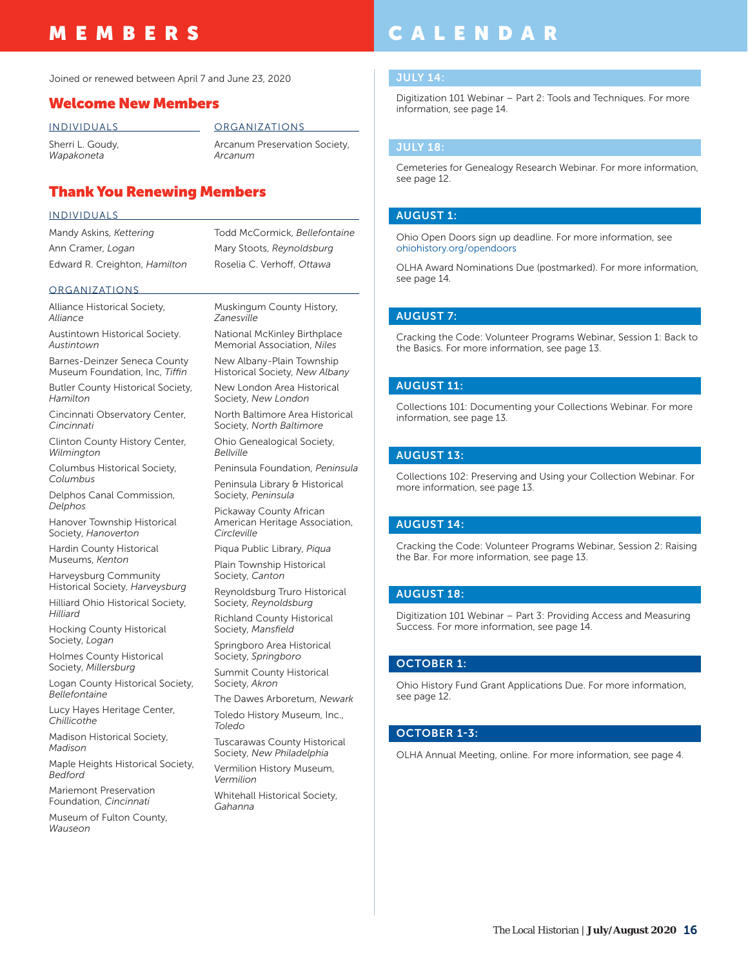# MEMBERS

Joined or renewed between April 7 and June 23, 2020

### Welcome New Members

INDIVIDUALS Sherri L. Goudy,

*Wapakoneta*

ORGANIZATIONS

Arcanum Preservation Society, *Arcanum*

### Thank You Renewing Members

### INDIVIDUALS

Mandy Askins, *Kettering* Ann Cramer, *Logan* Edward R. Creighton, *Hamilton* Todd McCormick, *Bellefontaine*  Mary Stoots, *Reynoldsburg* Roselia C. Verhoff, *Ottawa*

### ORGANIZATIONS

Alliance Historical Society, *Alliance*

Austintown Historical Society. *Austintown*

Barnes-Deinzer Seneca County Museum Foundation, Inc, *Tiffin*

Butler County Historical Society, *Hamilton*

Cincinnati Observatory Center, *Cincinnati*

Clinton County History Center, *Wilmington*

Columbus Historical Society, *Columbus*

Delphos Canal Commission, *Delphos*

Hanover Township Historical Society, *Hanoverton*

Hardin County Historical Museums, *Kenton*

Harveysburg Community Historical Society, *Harveysburg*

Hilliard Ohio Historical Society, *Hilliard*

Hocking County Historical Society, *Logan*

Holmes County Historical Society, *Millersburg*

Logan County Historical Society, *Bellefontaine*

Lucy Hayes Heritage Center, *Chillicothe*

Madison Historical Society, *Madison*

Maple Heights Historical Society, *Bedford*

Mariemont Preservation Foundation, *Cincinnati*

Museum of Fulton County, *Wauseon*

Muskingum County History, *Zanesville* National McKinley Birthplace

Memorial Association, *Niles*

New Albany-Plain Township Historical Society, *New Albany* New London Area Historical

Society, *New London*

North Baltimore Area Historical Society, *North Baltimore*

Ohio Genealogical Society, *Bellville*

Peninsula Foundation, *Peninsula*

Peninsula Library & Historical Society, *Peninsula*

Pickaway County African American Heritage Association, *Circleville*

Piqua Public Library, *Piqua* Plain Township Historical Society, *Canton*

Reynoldsburg Truro Historical Society, *Reynoldsburg*

Richland County Historical Society, *Mansfield*

Springboro Area Historical Society, *Springboro*

Summit County Historical Society, *Akron*

The Dawes Arboretum, *Newark*

Toledo History Museum, Inc., *Toledo*

Tuscarawas County Historical Society, *New Philadelphia*

Vermilion History Museum, *Vermilion*

Whitehall Historical Society, *Gahanna*

# CALENDAR

Digitization 101 Webinar – Part 2: Tools and Techniques. For more information, see page 14.

### JULY 18:

Cemeteries for Genealogy Research Webinar. For more information, see page 12.

### AUGUST 1:

Ohio Open Doors sign up deadline. For more information, see [ohiohistory.org/opendoors](http://ohiohistory.org/opendoors)

OLHA Award Nominations Due (postmarked). For more information, see page 14.

### AUGUST 7:

Cracking the Code: Volunteer Programs Webinar, Session 1: Back to the Basics. For more information, see page 13.

### AUGUST 11:

Collections 101: Documenting your Collections Webinar. For more information, see page 13.

### AUGUST 13:

Collections 102: Preserving and Using your Collection Webinar. For more information, see page 13.

### AUGUST 14:

Cracking the Code: Volunteer Programs Webinar, Session 2: Raising the Bar. For more information, see page 13.

### AUGUST 18:

Digitization 101 Webinar – Part 3: Providing Access and Measuring Success. For more information, see page 14.

### OCTOBER 1:

Ohio History Fund Grant Applications Due. For more information, see page 12.

### OCTOBER 1-3:

OLHA Annual Meeting, online. For more information, see page 4.